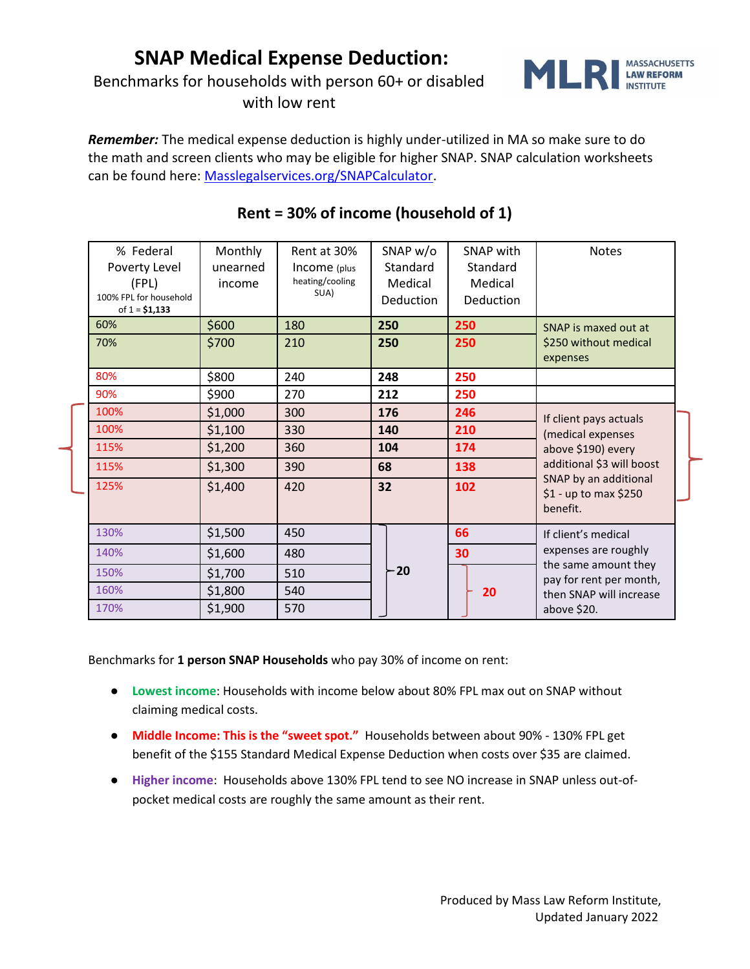## **SNAP Medical Expense Deduction:**

Benchmarks for households with person 60+ or disabled

with low rent



*Remember:* The medical expense deduction is highly under-utilized in MA so make sure to do the math and screen clients who may be eligible for higher SNAP. SNAP calculation worksheets can be found here: [Masslegalservices.org/SNAPCalculator.](http://www.masslegalservices.org/SNAPcalculator)

| % Federal              | Monthly  | Rent at 30%     | SNAP w/o  | SNAP with | <b>Notes</b>                                    |
|------------------------|----------|-----------------|-----------|-----------|-------------------------------------------------|
| Poverty Level          | unearned | Income (plus    | Standard  | Standard  |                                                 |
| (FPL)                  | income   | heating/cooling | Medical   | Medical   |                                                 |
| 100% FPL for household |          | SUA)            | Deduction | Deduction |                                                 |
| of $1 = $1,133$        |          |                 |           |           |                                                 |
| 60%                    | \$600    | 180             | 250       | 250       | SNAP is maxed out at                            |
| 70%                    | \$700    | 210             | 250       | 250       | \$250 without medical                           |
|                        |          |                 |           |           | expenses                                        |
| 80%                    | \$800    | 240             | 248       | 250       |                                                 |
| 90%                    | \$900    | 270             | 212       | 250       |                                                 |
| 100%                   | \$1,000  | 300             | 176       | 246       | If client pays actuals                          |
| 100%                   | \$1,100  | 330             | 140       | 210       | (medical expenses                               |
| 115%                   | \$1,200  | 360             | 104       | 174       | above \$190) every                              |
| 115%                   | \$1,300  | 390             | 68        | 138       | additional \$3 will boost                       |
| 125%                   | \$1,400  | 420             | 32        | 102       | SNAP by an additional<br>\$1 - up to max \$250  |
|                        |          |                 |           |           | benefit.                                        |
|                        |          |                 |           |           |                                                 |
| 130%                   | \$1,500  | 450             |           | 66        | If client's medical                             |
| 140%                   | \$1,600  | 480             |           | 30        | expenses are roughly                            |
| 150%                   | \$1,700  | 510             | $-20$     |           | the same amount they<br>pay for rent per month, |
| 160%                   | \$1,800  | 540             |           | 20        | then SNAP will increase                         |
| 170%                   | \$1,900  | 570             |           |           | above \$20.                                     |

## **Rent = 30% of income (household of 1)**

Benchmarks for **1 person SNAP Households** who pay 30% of income on rent:

- **Lowest income**: Households with income below about 80% FPL max out on SNAP without claiming medical costs.
- **Middle Income: This is the "sweet spot."** Households between about 90% 130% FPL get benefit of the \$155 Standard Medical Expense Deduction when costs over \$35 are claimed.
- **Higher income**: Households above 130% FPL tend to see NO increase in SNAP unless out-ofpocket medical costs are roughly the same amount as their rent.